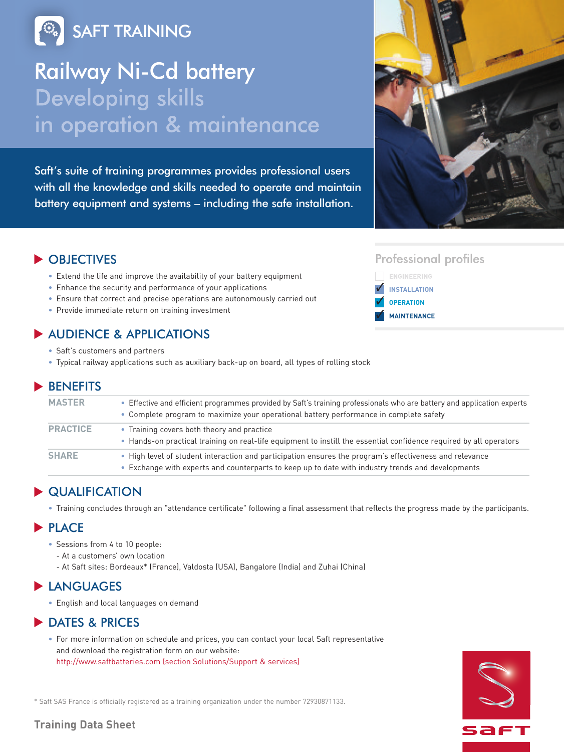**SAFT TRAINING** 

# Railway Ni-Cd battery **Developing skills** in operation & maintenance

Saft's suite of training programmes provides professional users with all the knowledge and skills needed to operate and maintain battery equipment and systems – including the safe installation.



## OBJECTIVES **▼**

- Extend the life and improve the availability of your battery equipment
- Enhance the security and performance of your applications
- Ensure that correct and precise operations are autonomously carried out
- Provide immediate return on training investment

## ◆ AUDIENCE & APPLICATIONS

- Saft's customers and partners
- Typical railway applications such as auxiliary back-up on board, all types of rolling stock

## BENEFITS **▼**

| <b>MASTER</b>   | • Effective and efficient programmes provided by Saft's training professionals who are battery and application experts<br>• Complete program to maximize your operational battery performance in complete safety |  |
|-----------------|------------------------------------------------------------------------------------------------------------------------------------------------------------------------------------------------------------------|--|
| <b>PRACTICE</b> | • Training covers both theory and practice<br>• Hands-on practical training on real-life equipment to instill the essential confidence required by all operators                                                 |  |
| <b>SHARE</b>    | • High level of student interaction and participation ensures the program's effectiveness and relevance<br>• Exchange with experts and counterparts to keep up to date with industry trends and developments     |  |

## **▶ QUALIFICATION**

• Training concludes through an "attendance certificate" following a final assessment that reflects the progress made by the participants.

## **PLACE**

- Sessions from 4 to 10 people:
	- At a customers' own location
	- At Saft sites: Bordeaux\* (France), Valdosta (USA), Bangalore (India) and Zuhai (China)

## ▶ LANGUAGES

• English and local languages on demand

## ▶ DATES & PRICES

• For more information on schedule and prices, you can contact your local Saft representative and download the registration form on our website: http://www.saftbatteries.com (section Solutions/Support & services)



\* Saft SAS France is officially registered as a training organization under the number 72930871133.

## **Training Data Sheet**